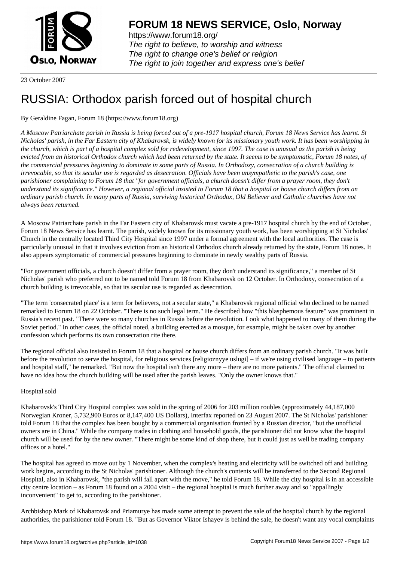

https://www.forum18.org/ The right to believe, to worship and witness The right to change one's belief or religion [The right to join together a](https://www.forum18.org/)nd express one's belief

23 October 2007

## [RUSSIA: Ortho](https://www.forum18.org)dox parish forced out of hospital church

## By Geraldine Fagan, Forum 18 (https://www.forum18.org)

*A Moscow Patriarchate parish in Russia is being forced out of a pre-1917 hospital church, Forum 18 News Service has learnt. St Nicholas' parish, in the Far Eastern city of Khabarovsk, is widely known for its missionary youth work. It has been worshipping in the church, which is part of a hospital complex sold for redevelopment, since 1997. The case is unusual as the parish is being evicted from an historical Orthodox church which had been returned by the state. It seems to be symptomatic, Forum 18 notes, of the commercial pressures beginning to dominate in some parts of Russia. In Orthodoxy, consecration of a church building is irrevocable, so that its secular use is regarded as desecration. Officials have been unsympathetic to the parish's case, one parishioner complaining to Forum 18 that "for government officials, a church doesn't differ from a prayer room, they don't understand its significance." However, a regional official insisted to Forum 18 that a hospital or house church differs from an ordinary parish church. In many parts of Russia, surviving historical Orthodox, Old Believer and Catholic churches have not always been returned.*

A Moscow Patriarchate parish in the Far Eastern city of Khabarovsk must vacate a pre-1917 hospital church by the end of October, Forum 18 News Service has learnt. The parish, widely known for its missionary youth work, has been worshipping at St Nicholas' Church in the centrally located Third City Hospital since 1997 under a formal agreement with the local authorities. The case is particularly unusual in that it involves eviction from an historical Orthodox church already returned by the state, Forum 18 notes. It also appears symptomatic of commercial pressures beginning to dominate in newly wealthy parts of Russia.

"For government officials, a church doesn't differ from a prayer room, they don't understand its significance," a member of St Nicholas' parish who preferred not to be named told Forum 18 from Khabarovsk on 12 October. In Orthodoxy, consecration of a church building is irrevocable, so that its secular use is regarded as desecration.

"The term 'consecrated place' is a term for believers, not a secular state," a Khabarovsk regional official who declined to be named remarked to Forum 18 on 22 October. "There is no such legal term." He described how "this blasphemous feature" was prominent in Russia's recent past. "There were so many churches in Russia before the revolution. Look what happened to many of them during the Soviet period." In other cases, the official noted, a building erected as a mosque, for example, might be taken over by another confession which performs its own consecration rite there.

The regional official also insisted to Forum 18 that a hospital or house church differs from an ordinary parish church. "It was built before the revolution to serve the hospital, for religious services [religioznyve uslugi] – if we're using civilised language – to patients and hospital staff," he remarked. "But now the hospital isn't there any more – there are no more patients." The official claimed to have no idea how the church building will be used after the parish leaves. "Only the owner knows that."

## Hospital sold

Khabarovsk's Third City Hospital complex was sold in the spring of 2006 for 203 million roubles (approximately 44,187,000 Norwegian Kroner, 5,732,900 Euros or 8,147,400 US Dollars), Interfax reported on 23 August 2007. The St Nicholas' parishioner told Forum 18 that the complex has been bought by a commercial organisation fronted by a Russian director, "but the unofficial owners are in China." While the company trades in clothing and household goods, the parishioner did not know what the hospital church will be used for by the new owner. "There might be some kind of shop there, but it could just as well be trading company offices or a hotel."

The hospital has agreed to move out by 1 November, when the complex's heating and electricity will be switched off and building work begins, according to the St Nicholas' parishioner. Although the church's contents will be transferred to the Second Regional Hospital, also in Khabarovsk, "the parish will fall apart with the move," he told Forum 18. While the city hospital is in an accessible city centre location – as Forum 18 found on a 2004 visit – the regional hospital is much further away and so "appallingly inconvenient" to get to, according to the parishioner.

Archbishop Mark of Khabarovsk and Priamurye has made some attempt to prevent the sale of the hospital church by the regional authorities, the parishioner told Forum 18. "But as Governor Viktor Ishayev is behind the sale, he doesn't want any vocal complaints